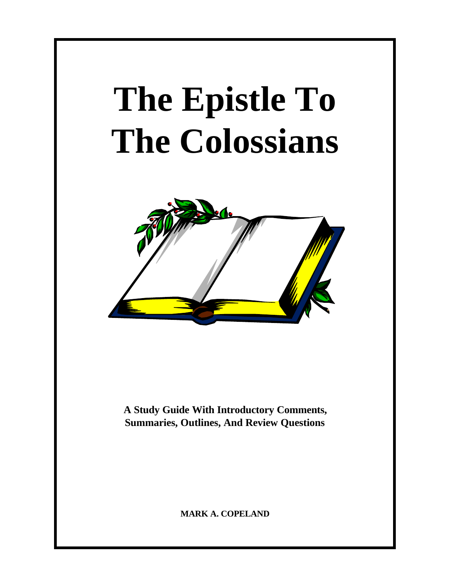# **The Epistle To The Colossians**



**A Study Guide With Introductory Comments, Summaries, Outlines, And Review Questions**

**MARK A. COPELAND**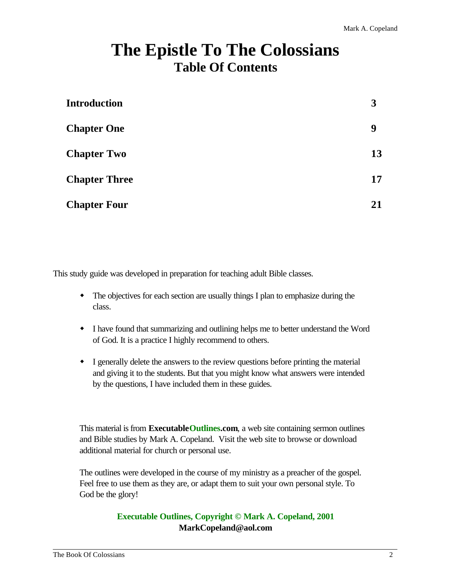# **The Epistle To The Colossians Table Of Contents**

| <b>Introduction</b>  | 3  |
|----------------------|----|
| <b>Chapter One</b>   | 9  |
| <b>Chapter Two</b>   | 13 |
| <b>Chapter Three</b> | 17 |
| <b>Chapter Four</b>  | 21 |

This study guide was developed in preparation for teaching adult Bible classes.

- The objectives for each section are usually things I plan to emphasize during the class.
- w I have found that summarizing and outlining helps me to better understand the Word of God. It is a practice I highly recommend to others.
- I generally delete the answers to the review questions before printing the material and giving it to the students. But that you might know what answers were intended by the questions, I have included them in these guides.

This material is from **ExecutableOutlines.com**, a web site containing sermon outlines and Bible studies by Mark A. Copeland. Visit the web site to browse or download additional material for church or personal use.

The outlines were developed in the course of my ministry as a preacher of the gospel. Feel free to use them as they are, or adapt them to suit your own personal style. To God be the glory!

#### **Executable Outlines, Copyright © Mark A. Copeland, 2001 MarkCopeland@aol.com**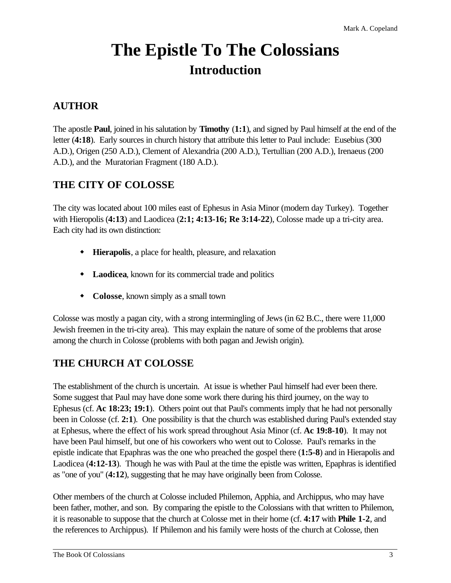# **The Epistle To The Colossians Introduction**

# **AUTHOR**

The apostle **Paul**, joined in his salutation by **Timothy** (**1:1**), and signed by Paul himself at the end of the letter (4:18). Early sources in church history that attribute this letter to Paul include: Eusebius (300) A.D.), Origen (250 A.D.), Clement of Alexandria (200 A.D.), Tertullian (200 A.D.), Irenaeus (200 A.D.), and the Muratorian Fragment (180 A.D.).

# **THE CITY OF COLOSSE**

The city was located about 100 miles east of Ephesus in Asia Minor (modern day Turkey). Together with Hieropolis (**4:13**) and Laodicea (**2:1; 4:13-16; Re 3:14-22**), Colosse made up a tri-city area. Each city had its own distinction:

- w **Hierapolis**, a place for health, pleasure, and relaxation
- $\bullet$  **Laodicea**, known for its commercial trade and politics
- Colosse, known simply as a small town

Colosse was mostly a pagan city, with a strong intermingling of Jews (in 62 B.C., there were 11,000 Jewish freemen in the tri-city area). This may explain the nature of some of the problems that arose among the church in Colosse (problems with both pagan and Jewish origin).

# **THE CHURCH AT COLOSSE**

The establishment of the church is uncertain. At issue is whether Paul himself had ever been there. Some suggest that Paul may have done some work there during his third journey, on the way to Ephesus (cf. **Ac 18:23; 19:1**). Others point out that Paul's comments imply that he had not personally been in Colosse (cf. **2:1**). One possibility is that the church was established during Paul's extended stay at Ephesus, where the effect of his work spread throughout Asia Minor (cf. **Ac 19:8-10**). It may not have been Paul himself, but one of his coworkers who went out to Colosse. Paul's remarks in the epistle indicate that Epaphras was the one who preached the gospel there (**1:5-8**) and in Hierapolis and Laodicea (**4:12-13**). Though he was with Paul at the time the epistle was written, Epaphras is identified as "one of you" (**4:12**), suggesting that he may have originally been from Colosse.

Other members of the church at Colosse included Philemon, Apphia, and Archippus, who may have been father, mother, and son. By comparing the epistle to the Colossians with that written to Philemon, it is reasonable to suppose that the church at Colosse met in their home (cf. **4:17** with **Phile 1-2**, and the references to Archippus). If Philemon and his family were hosts of the church at Colosse, then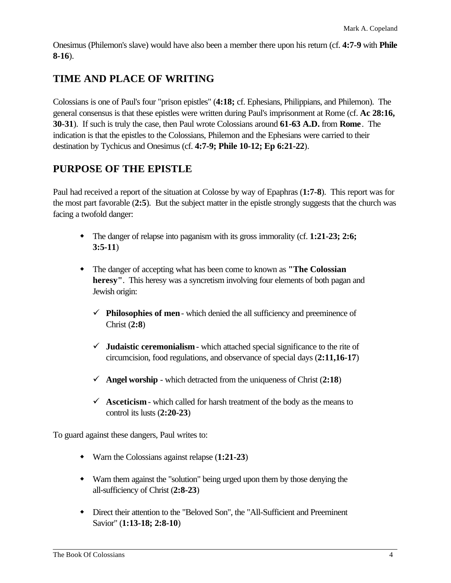Onesimus (Philemon's slave) would have also been a member there upon his return (cf. **4:7-9** with **Phile 8-16**).

# **TIME AND PLACE OF WRITING**

Colossians is one of Paul's four "prison epistles" (**4:18;** cf. Ephesians, Philippians, and Philemon). The general consensus is that these epistles were written during Paul's imprisonment at Rome (cf. **Ac 28:16, 30-31**). If such is truly the case, then Paul wrote Colossians around **61-63 A.D.** from **Rome**. The indication is that the epistles to the Colossians, Philemon and the Ephesians were carried to their destination by Tychicus and Onesimus (cf. **4:7-9; Phile 10-12; Ep 6:21-22**).

# **PURPOSE OF THE EPISTLE**

Paul had received a report of the situation at Colosse by way of Epaphras (**1:7-8**). This report was for the most part favorable (**2:5**). But the subject matter in the epistle strongly suggests that the church was facing a twofold danger:

- The danger of relapse into paganism with its gross immorality (cf. **1:21-23; 2:6; 3:5-11**)
- w The danger of accepting what has been come to known as **"The Colossian heresy"**. This heresy was a syncretism involving four elements of both pagan and Jewish origin:
	- $\checkmark$  **Philosophies of men** which denied the all sufficiency and preeminence of Christ (**2:8**)
	- $\checkmark$  **Judaistic ceremonialism** which attached special significance to the rite of circumcision, food regulations, and observance of special days (**2:11,16-17**)
	- $\checkmark$  **Angel worship** which detracted from the uniqueness of Christ (2:18)
	- $\checkmark$  **Asceticism** which called for harsh treatment of the body as the means to control its lusts (**2:20-23**)

To guard against these dangers, Paul writes to:

- w Warn the Colossians against relapse (**1:21-23**)
- w Warn them against the "solution" being urged upon them by those denying the all-sufficiency of Christ (**2:8-23**)
- w Direct their attention to the "Beloved Son", the "All-Sufficient and Preeminent Savior" (**1:13-18; 2:8-10**)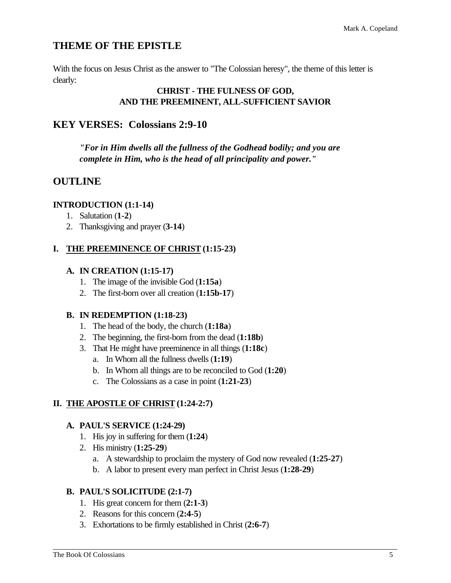# **THEME OF THE EPISTLE**

With the focus on Jesus Christ as the answer to "The Colossian heresy", the theme of this letter is clearly:

#### **CHRIST - THE FULNESS OF GOD, AND THE PREEMINENT, ALL-SUFFICIENT SAVIOR**

# **KEY VERSES: Colossians 2:9-10**

*"For in Him dwells all the fullness of the Godhead bodily; and you are complete in Him, who is the head of all principality and power."*

# **OUTLINE**

#### **INTRODUCTION (1:1-14)**

- 1. Salutation (**1-2**)
- 2. Thanksgiving and prayer (**3-14**)

#### **I. THE PREEMINENCE OF CHRIST (1:15-23)**

#### **A. IN CREATION (1:15-17)**

- 1. The image of the invisible God (**1:15a**)
- 2. The first-born over all creation (**1:15b-17**)

#### **B. IN REDEMPTION (1:18-23)**

- 1. The head of the body, the church (**1:18a**)
- 2. The beginning, the first-born from the dead (**1:18b**)
- 3. That He might have preeminence in all things (**1:18c**)
	- a. In Whom all the fullness dwells (**1:19**)
	- b. In Whom all things are to be reconciled to God (**1:20**)
	- c. The Colossians as a case in point (**1:21-23**)

#### **II. THE APOSTLE OF CHRIST (1:24-2:7)**

#### **A. PAUL'S SERVICE (1:24-29)**

- 1. His joy in suffering for them (**1:24**)
- 2. His ministry (**1:25-29**)
	- a. A stewardship to proclaim the mystery of God now revealed (**1:25-27**)
	- b. A labor to present every man perfect in Christ Jesus (**1:28-29**)

#### **B. PAUL'S SOLICITUDE (2:1-7)**

- 1. His great concern for them (**2:1-3**)
- 2. Reasons for this concern (**2:4-5**)
- 3. Exhortations to be firmly established in Christ (**2:6-7**)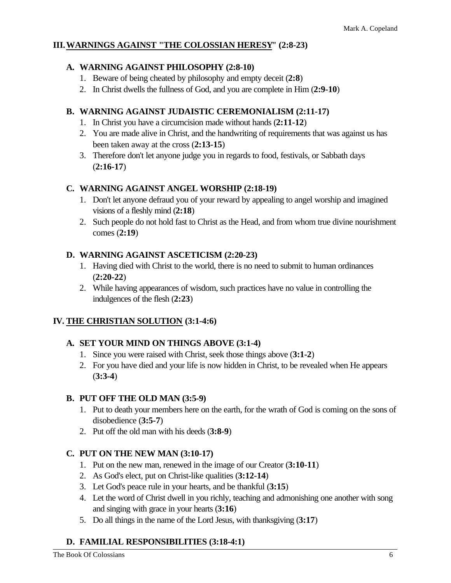#### **III.WARNINGS AGAINST "THE COLOSSIAN HERESY" (2:8-23)**

#### **A. WARNING AGAINST PHILOSOPHY (2:8-10)**

- 1. Beware of being cheated by philosophy and empty deceit (**2:8**)
- 2. In Christ dwells the fullness of God, and you are complete in Him (**2:9-10**)

#### **B. WARNING AGAINST JUDAISTIC CEREMONIALISM (2:11-17)**

- 1. In Christ you have a circumcision made without hands (**2:11-12**)
- 2. You are made alive in Christ, and the handwriting of requirements that was against us has been taken away at the cross (**2:13-15**)
- 3. Therefore don't let anyone judge you in regards to food, festivals, or Sabbath days (**2:16-17**)

#### **C. WARNING AGAINST ANGEL WORSHIP (2:18-19)**

- 1. Don't let anyone defraud you of your reward by appealing to angel worship and imagined visions of a fleshly mind (**2:18**)
- 2. Such people do not hold fast to Christ as the Head, and from whom true divine nourishment comes (**2:19**)

#### **D. WARNING AGAINST ASCETICISM (2:20-23)**

- 1. Having died with Christ to the world, there is no need to submit to human ordinances (**2:20-22**)
- 2. While having appearances of wisdom, such practices have no value in controlling the indulgences of the flesh (**2:23**)

#### **IV. THE CHRISTIAN SOLUTION (3:1-4:6)**

#### **A. SET YOUR MIND ON THINGS ABOVE (3:1-4)**

- 1. Since you were raised with Christ, seek those things above (**3:1-2**)
- 2. For you have died and your life is now hidden in Christ, to be revealed when He appears (**3:3-4**)

#### **B. PUT OFF THE OLD MAN (3:5-9)**

- 1. Put to death your members here on the earth, for the wrath of God is coming on the sons of disobedience (**3:5-7**)
- 2. Put off the old man with his deeds (**3:8-9**)

#### **C. PUT ON THE NEW MAN (3:10-17)**

- 1. Put on the new man, renewed in the image of our Creator (**3:10-11**)
- 2. As God's elect, put on Christ-like qualities (**3:12-14**)
- 3. Let God's peace rule in your hearts, and be thankful (**3:15**)
- 4. Let the word of Christ dwell in you richly, teaching and admonishing one another with song and singing with grace in your hearts (**3:16**)
- 5. Do all things in the name of the Lord Jesus, with thanksgiving (**3:17**)

#### **D. FAMILIAL RESPONSIBILITIES (3:18-4:1)**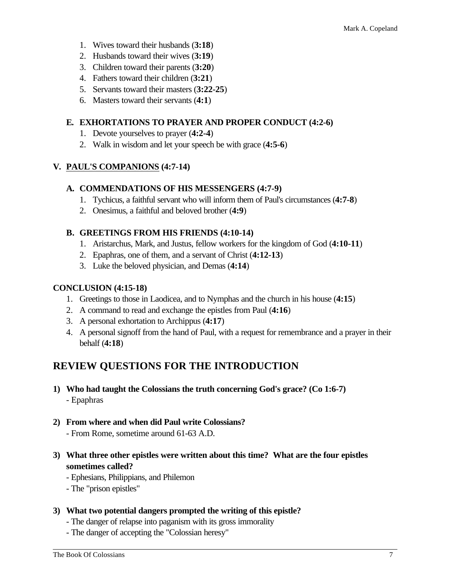- 1. Wives toward their husbands (**3:18**)
- 2. Husbands toward their wives (**3:19**)
- 3. Children toward their parents (**3:20**)
- 4. Fathers toward their children (**3:21**)
- 5. Servants toward their masters (**3:22-25**)
- 6. Masters toward their servants (**4:1**)

#### **E. EXHORTATIONS TO PRAYER AND PROPER CONDUCT (4:2-6)**

- 1. Devote yourselves to prayer (**4:2-4**)
- 2. Walk in wisdom and let your speech be with grace (**4:5-6**)

#### **V. PAUL'S COMPANIONS (4:7-14)**

#### **A. COMMENDATIONS OF HIS MESSENGERS (4:7-9)**

- 1. Tychicus, a faithful servant who will inform them of Paul's circumstances (**4:7-8**)
- 2. Onesimus, a faithful and beloved brother (**4:9**)

#### **B. GREETINGS FROM HIS FRIENDS (4:10-14)**

- 1. Aristarchus, Mark, and Justus, fellow workers for the kingdom of God (**4:10-11**)
- 2. Epaphras, one of them, and a servant of Christ (**4:12-13**)
- 3. Luke the beloved physician, and Demas (**4:14**)

#### **CONCLUSION (4:15-18)**

- 1. Greetings to those in Laodicea, and to Nymphas and the church in his house (**4:15**)
- 2. A command to read and exchange the epistles from Paul (**4:16**)
- 3. A personal exhortation to Archippus (**4:17**)
- 4. A personal signoff from the hand of Paul, with a request for remembrance and a prayer in their behalf (**4:18**)

# **REVIEW QUESTIONS FOR THE INTRODUCTION**

- **1) Who had taught the Colossians the truth concerning God's grace? (Co 1:6-7)** - Epaphras
- **2) From where and when did Paul write Colossians?**
	- From Rome, sometime around 61-63 A.D.
- **3) What three other epistles were written about this time? What are the four epistles sometimes called?**
	- Ephesians, Philippians, and Philemon
	- The "prison epistles"
- **3) What two potential dangers prompted the writing of this epistle?**
	- The danger of relapse into paganism with its gross immorality
	- The danger of accepting the "Colossian heresy"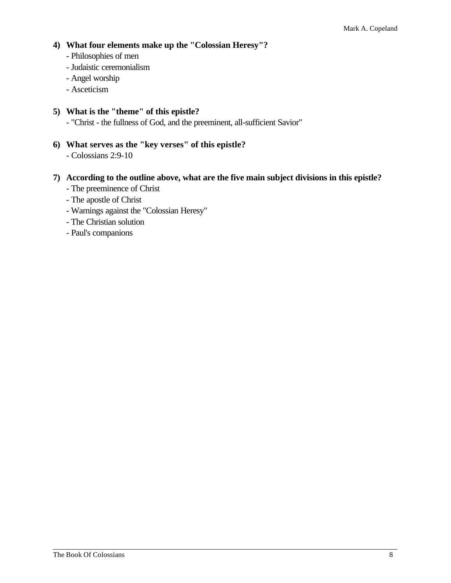#### **4) What four elements make up the "Colossian Heresy"?**

- Philosophies of men
- Judaistic ceremonialism
- Angel worship
- Asceticism

#### **5) What is the "theme" of this epistle?**

- "Christ - the fullness of God, and the preeminent, all-sufficient Savior"

- **6) What serves as the "key verses" of this epistle?**
	- Colossians 2:9-10

#### **7) According to the outline above, what are the five main subject divisions in this epistle?**

- The preeminence of Christ
- The apostle of Christ
- Warnings against the "Colossian Heresy"
- The Christian solution
- Paul's companions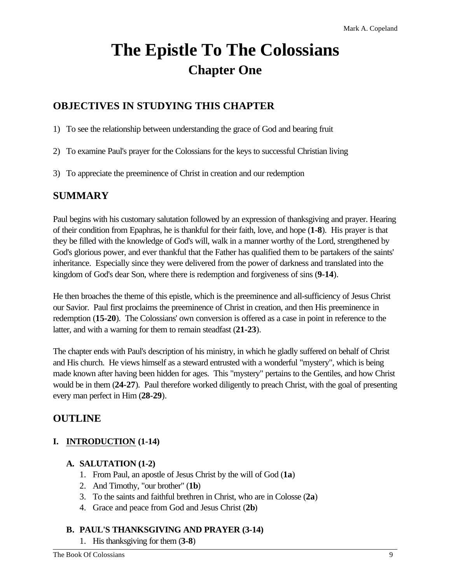# **The Epistle To The Colossians Chapter One**

# **OBJECTIVES IN STUDYING THIS CHAPTER**

- 1) To see the relationship between understanding the grace of God and bearing fruit
- 2) To examine Paul's prayer for the Colossians for the keys to successful Christian living
- 3) To appreciate the preeminence of Christ in creation and our redemption

## **SUMMARY**

Paul begins with his customary salutation followed by an expression of thanksgiving and prayer. Hearing of their condition from Epaphras, he is thankful for their faith, love, and hope (**1-8**). His prayer is that they be filled with the knowledge of God's will, walk in a manner worthy of the Lord, strengthened by God's glorious power, and ever thankful that the Father has qualified them to be partakers of the saints' inheritance. Especially since they were delivered from the power of darkness and translated into the kingdom of God's dear Son, where there is redemption and forgiveness of sins (**9-14**).

He then broaches the theme of this epistle, which is the preeminence and all-sufficiency of Jesus Christ our Savior. Paul first proclaims the preeminence of Christ in creation, and then His preeminence in redemption (**15-20**). The Colossians' own conversion is offered as a case in point in reference to the latter, and with a warning for them to remain steadfast (**21-23**).

The chapter ends with Paul's description of his ministry, in which he gladly suffered on behalf of Christ and His church. He views himself as a steward entrusted with a wonderful "mystery", which is being made known after having been hidden for ages. This "mystery" pertains to the Gentiles, and how Christ would be in them (**24-27**). Paul therefore worked diligently to preach Christ, with the goal of presenting every man perfect in Him (**28-29**).

# **OUTLINE**

## **I. INTRODUCTION (1-14)**

#### **A. SALUTATION (1-2)**

- 1. From Paul, an apostle of Jesus Christ by the will of God (**1a**)
- 2. And Timothy, "our brother" (**1b**)
- 3. To the saints and faithful brethren in Christ, who are in Colosse (**2a**)
- 4. Grace and peace from God and Jesus Christ (**2b**)

#### **B. PAUL'S THANKSGIVING AND PRAYER (3-14)**

1. His thanksgiving for them (**3-8**)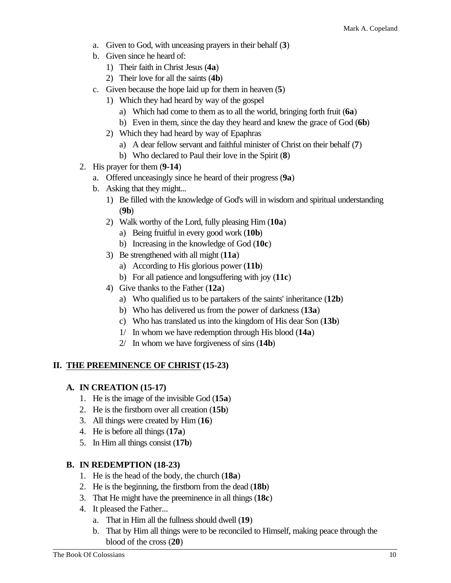- a. Given to God, with unceasing prayers in their behalf (**3**)
- b. Given since he heard of:
	- 1) Their faith in Christ Jesus (**4a**)
	- 2) Their love for all the saints (**4b**)
- c. Given because the hope laid up for them in heaven (**5**)
	- 1) Which they had heard by way of the gospel
		- a) Which had come to them as to all the world, bringing forth fruit (**6a**)
		- b) Even in them, since the day they heard and knew the grace of God (**6b**)
	- 2) Which they had heard by way of Epaphras
		- a) A dear fellow servant and faithful minister of Christ on their behalf (**7**)
		- b) Who declared to Paul their love in the Spirit (**8**)
- 2. His prayer for them (**9-14**)
	- a. Offered unceasingly since he heard of their progress (**9a**)
	- b. Asking that they might...
		- 1) Be filled with the knowledge of God's will in wisdom and spiritual understanding (**9b**)
		- 2) Walk worthy of the Lord, fully pleasing Him (**10a**)
			- a) Being fruitful in every good work (**10b**)
			- b) Increasing in the knowledge of God (**10c**)
		- 3) Be strengthened with all might (**11a**)
			- a) According to His glorious power (**11b**)
			- b) For all patience and longsuffering with joy (**11c**)
		- 4) Give thanks to the Father (**12a**)
			- a) Who qualified us to be partakers of the saints' inheritance (**12b**)
			- b) Who has delivered us from the power of darkness (**13a**)
			- c) Who has translated us into the kingdom of His dear Son (**13b**)
			- 1/ In whom we have redemption through His blood (**14a**)
			- 2/ In whom we have forgiveness of sins (**14b**)

#### **II. THE PREEMINENCE OF CHRIST (15-23)**

#### **A. IN CREATION (15-17)**

- 1. He is the image of the invisible God (**15a**)
- 2. He is the firstborn over all creation (**15b**)
- 3. All things were created by Him (**16**)
- 4. He is before all things (**17a**)
- 5. In Him all things consist (**17b**)

#### **B. IN REDEMPTION (18-23)**

- 1. He is the head of the body, the church (**18a**)
- 2. He is the beginning, the firstborn from the dead (**18b**)
- 3. That He might have the preeminence in all things (**18c**)
- 4. It pleased the Father...
	- a. That in Him all the fullness should dwell (**19**)
	- b. That by Him all things were to be reconciled to Himself, making peace through the blood of the cross (**20**)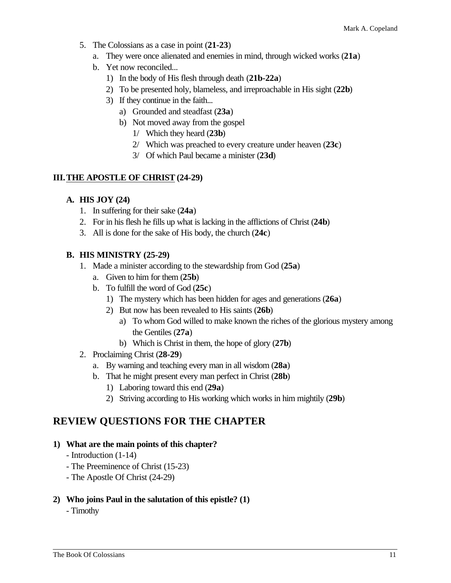- 5. The Colossians as a case in point (**21-23**)
	- a. They were once alienated and enemies in mind, through wicked works (**21a**)
	- b. Yet now reconciled...
		- 1) In the body of His flesh through death (**21b-22a**)
		- 2) To be presented holy, blameless, and irreproachable in His sight (**22b**)
		- 3) If they continue in the faith...
			- a) Grounded and steadfast (**23a**)
			- b) Not moved away from the gospel
				- 1/ Which they heard (**23b**)
				- 2/ Which was preached to every creature under heaven (**23c**)
				- 3/ Of which Paul became a minister (**23d**)

#### **III.THE APOSTLE OF CHRIST (24-29)**

#### **A. HIS JOY (24)**

- 1. In suffering for their sake (**24a**)
- 2. For in his flesh he fills up what is lacking in the afflictions of Christ (**24b**)
- 3. All is done for the sake of His body, the church (**24c**)

#### **B. HIS MINISTRY (25-29)**

- 1. Made a minister according to the stewardship from God (**25a**)
	- a. Given to him for them (**25b**)
	- b. To fulfill the word of God (**25c**)
		- 1) The mystery which has been hidden for ages and generations (**26a**)
		- 2) But now has been revealed to His saints (**26b**)
			- a) To whom God willed to make known the riches of the glorious mystery among the Gentiles (**27a**)
			- b) Which is Christ in them, the hope of glory (**27b**)
- 2. Proclaiming Christ (**28-29**)
	- a. By warning and teaching every man in all wisdom (**28a**)
	- b. That he might present every man perfect in Christ (**28b**)
		- 1) Laboring toward this end (**29a**)
		- 2) Striving according to His working which works in him mightily (**29b**)

## **REVIEW QUESTIONS FOR THE CHAPTER**

#### **1) What are the main points of this chapter?**

- Introduction (1-14)
- The Preeminence of Christ (15-23)
- The Apostle Of Christ (24-29)
- **2) Who joins Paul in the salutation of this epistle? (1)**

- Timothy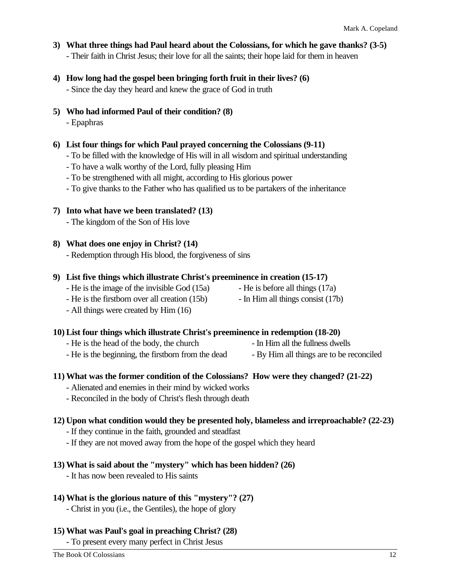- **3) What three things had Paul heard about the Colossians, for which he gave thanks? (3-5)** - Their faith in Christ Jesus; their love for all the saints; their hope laid for them in heaven
- **4) How long had the gospel been bringing forth fruit in their lives? (6)** - Since the day they heard and knew the grace of God in truth
- **5) Who had informed Paul of their condition? (8)**
	- Epaphras
- **6) List four things for which Paul prayed concerning the Colossians (9-11)**
	- To be filled with the knowledge of His will in all wisdom and spiritual understanding
	- To have a walk worthy of the Lord, fully pleasing Him
	- To be strengthened with all might, according to His glorious power
	- To give thanks to the Father who has qualified us to be partakers of the inheritance

#### **7) Into what have we been translated? (13)**

- The kingdom of the Son of His love

#### **8) What does one enjoy in Christ? (14)**

- Redemption through His blood, the forgiveness of sins

#### **9) List five things which illustrate Christ's preeminence in creation (15-17)**

- He is the image of the invisible God  $(15a)$  He is before all things  $(17a)$
- He is the firstborn over all creation (15b) In Him all things consist (17b)
- -
- All things were created by Him (16)

#### **10) List four things which illustrate Christ's preeminence in redemption (18-20)**

- He is the head of the body, the church In Him all the fullness dwells
- He is the beginning, the firstborn from the dead By Him all things are to be reconciled

#### **11) What was the former condition of the Colossians? How were they changed? (21-22)**

- Alienated and enemies in their mind by wicked works
- Reconciled in the body of Christ's flesh through death

#### **12) Upon what condition would they be presented holy, blameless and irreproachable? (22-23)**

- If they continue in the faith, grounded and steadfast
- If they are not moved away from the hope of the gospel which they heard

#### **13) What is said about the "mystery" which has been hidden? (26)**

- It has now been revealed to His saints

#### **14) What is the glorious nature of this "mystery"? (27)**

- Christ in you (i.e., the Gentiles), the hope of glory

#### **15) What was Paul's goal in preaching Christ? (28)**

- To present every many perfect in Christ Jesus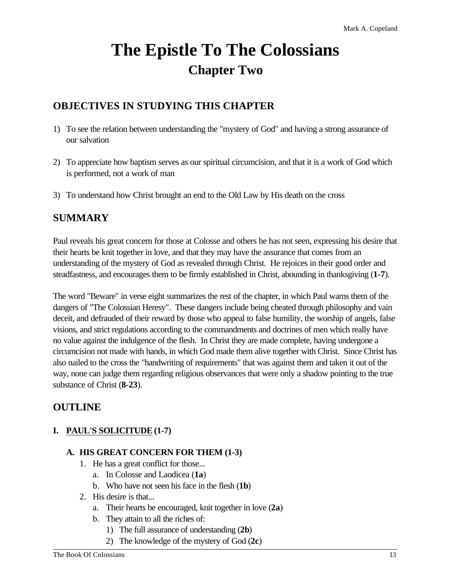# **The Epistle To The Colossians Chapter Two**

# **OBJECTIVES IN STUDYING THIS CHAPTER**

- 1) To see the relation between understanding the "mystery of God" and having a strong assurance of our salvation
- 2) To appreciate how baptism serves as our spiritual circumcision, and that it is a work of God which is performed, not a work of man
- 3) To understand how Christ brought an end to the Old Law by His death on the cross

# **SUMMARY**

Paul reveals his great concern for those at Colosse and others he has not seen, expressing his desire that their hearts be knit together in love, and that they may have the assurance that comes from an understanding of the mystery of God as revealed through Christ. He rejoices in their good order and steadfastness, and encourages them to be firmly established in Christ, abounding in thanksgiving (**1-7**).

The word "Beware" in verse eight summarizes the rest of the chapter, in which Paul warns them of the dangers of "The Colossian Heresy". These dangers include being cheated through philosophy and vain deceit, and defrauded of their reward by those who appeal to false humility, the worship of angels, false visions, and strict regulations according to the commandments and doctrines of men which really have no value against the indulgence of the flesh. In Christ they are made complete, having undergone a circumcision not made with hands, in which God made them alive together with Christ. Since Christ has also nailed to the cross the "handwriting of requirements" that was against them and taken it out of the way, none can judge them regarding religious observances that were only a shadow pointing to the true substance of Christ (**8-23**).

# **OUTLINE**

#### **I. PAUL'S SOLICITUDE (1-7)**

#### **A. HIS GREAT CONCERN FOR THEM (1-3)**

- 1. He has a great conflict for those...
	- a. In Colosse and Laodicea (**1a**)
	- b. Who have not seen his face in the flesh (**1b**)
- 2. His desire is that...
	- a. Their hearts be encouraged, knit together in love (**2a**)
	- b. They attain to all the riches of:
		- 1) The full assurance of understanding (**2b**)
		- 2) The knowledge of the mystery of God (**2c**)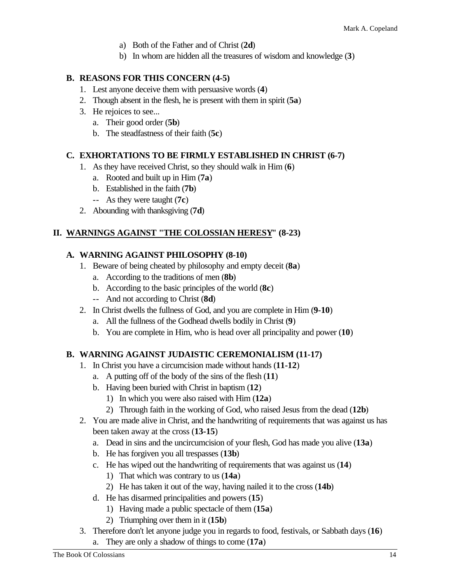- a) Both of the Father and of Christ (**2d**)
- b) In whom are hidden all the treasures of wisdom and knowledge (**3**)

#### **B. REASONS FOR THIS CONCERN (4-5)**

- 1. Lest anyone deceive them with persuasive words (**4**)
- 2. Though absent in the flesh, he is present with them in spirit (**5a**)
- 3. He rejoices to see...
	- a. Their good order (**5b**)
	- b. The steadfastness of their faith (**5c**)

#### **C. EXHORTATIONS TO BE FIRMLY ESTABLISHED IN CHRIST (6-7)**

- 1. As they have received Christ, so they should walk in Him (**6**)
	- a. Rooted and built up in Him (**7a**)
	- b. Established in the faith (**7b**)
	- -- As they were taught (**7c**)
- 2. Abounding with thanksgiving (**7d**)

#### **II. WARNINGS AGAINST "THE COLOSSIAN HERESY" (8-23)**

#### **A. WARNING AGAINST PHILOSOPHY (8-10)**

- 1. Beware of being cheated by philosophy and empty deceit (**8a**)
	- a. According to the traditions of men (**8b**)
	- b. According to the basic principles of the world (**8c**)
	- -- And not according to Christ (**8d**)
- 2. In Christ dwells the fullness of God, and you are complete in Him (**9-10**)
	- a. All the fullness of the Godhead dwells bodily in Christ (**9**)
	- b. You are complete in Him, who is head over all principality and power (**10**)

#### **B. WARNING AGAINST JUDAISTIC CEREMONIALISM (11-17)**

- 1. In Christ you have a circumcision made without hands (**11-12**)
	- a. A putting off of the body of the sins of the flesh (**11**)
	- b. Having been buried with Christ in baptism (**12**)
		- 1) In which you were also raised with Him (**12a**)
		- 2) Through faith in the working of God, who raised Jesus from the dead (**12b**)
- 2. You are made alive in Christ, and the handwriting of requirements that was against us has been taken away at the cross (**13-15**)
	- a. Dead in sins and the uncircumcision of your flesh, God has made you alive (**13a**)
	- b. He has forgiven you all trespasses (**13b**)
	- c. He has wiped out the handwriting of requirements that was against us (**14**)
		- 1) That which was contrary to us (**14a**)
		- 2) He has taken it out of the way, having nailed it to the cross (**14b**)
	- d. He has disarmed principalities and powers (**15**)
		- 1) Having made a public spectacle of them (**15a**)
		- 2) Triumphing over them in it (**15b**)
- 3. Therefore don't let anyone judge you in regards to food, festivals, or Sabbath days (**16**)
	- a. They are only a shadow of things to come (**17a**)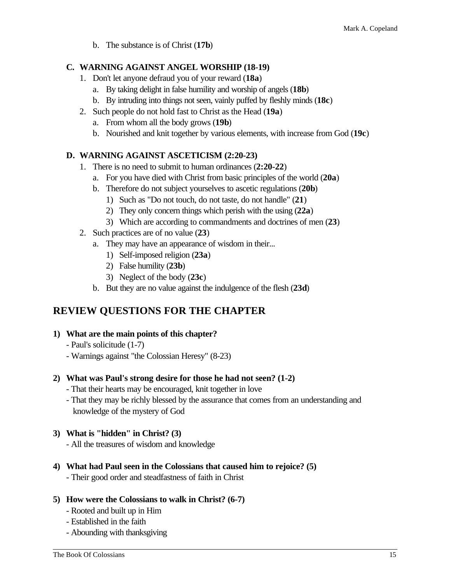b. The substance is of Christ (**17b**)

#### **C. WARNING AGAINST ANGEL WORSHIP (18-19)**

- 1. Don't let anyone defraud you of your reward (**18a**)
	- a. By taking delight in false humility and worship of angels (**18b**)
	- b. By intruding into things not seen, vainly puffed by fleshly minds (**18c**)
- 2. Such people do not hold fast to Christ as the Head (**19a**)
	- a. From whom all the body grows (**19b**)
	- b. Nourished and knit together by various elements, with increase from God (**19c**)

#### **D. WARNING AGAINST ASCETICISM (2:20-23)**

- 1. There is no need to submit to human ordinances (**2:20-22**)
	- a. For you have died with Christ from basic principles of the world (**20a**)
	- b. Therefore do not subject yourselves to ascetic regulations (**20b**)
		- 1) Such as "Do not touch, do not taste, do not handle" (**21**)
		- 2) They only concern things which perish with the using (**22a**)
		- 3) Which are according to commandments and doctrines of men (**23**)
- 2. Such practices are of no value (**23**)
	- a. They may have an appearance of wisdom in their...
		- 1) Self-imposed religion (**23a**)
		- 2) False humility (**23b**)
		- 3) Neglect of the body (**23c**)
	- b. But they are no value against the indulgence of the flesh (**23d**)

# **REVIEW QUESTIONS FOR THE CHAPTER**

- **1) What are the main points of this chapter?**
	- Paul's solicitude (1-7)
	- Warnings against "the Colossian Heresy" (8-23)

#### **2) What was Paul's strong desire for those he had not seen? (1-2)**

- That their hearts may be encouraged, knit together in love
- That they may be richly blessed by the assurance that comes from an understanding and knowledge of the mystery of God

#### **3) What is "hidden" in Christ? (3)**

- All the treasures of wisdom and knowledge

**4) What had Paul seen in the Colossians that caused him to rejoice? (5)**

- Their good order and steadfastness of faith in Christ

#### **5) How were the Colossians to walk in Christ? (6-7)**

- Rooted and built up in Him
- Established in the faith
- Abounding with thanksgiving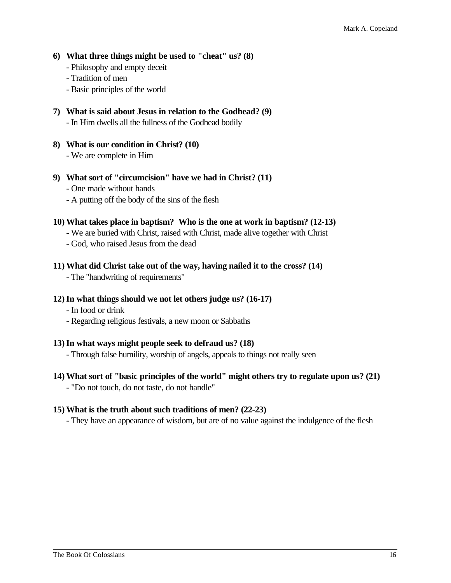- **6) What three things might be used to "cheat" us? (8)**
	- Philosophy and empty deceit
	- Tradition of men
	- Basic principles of the world
- **7) What is said about Jesus in relation to the Godhead? (9)** - In Him dwells all the fullness of the Godhead bodily
- **8) What is our condition in Christ? (10)** - We are complete in Him
- **9) What sort of "circumcision" have we had in Christ? (11)**
	- One made without hands
	- A putting off the body of the sins of the flesh

#### **10) What takes place in baptism? Who is the one at work in baptism? (12-13)**

- We are buried with Christ, raised with Christ, made alive together with Christ
- God, who raised Jesus from the dead

#### **11) What did Christ take out of the way, having nailed it to the cross? (14)**

- The "handwriting of requirements"

#### **12)In what things should we not let others judge us? (16-17)**

- In food or drink
- Regarding religious festivals, a new moon or Sabbaths

#### **13)In what ways might people seek to defraud us? (18)**

- Through false humility, worship of angels, appeals to things not really seen

#### **14) What sort of "basic principles of the world" might others try to regulate upon us? (21)** - "Do not touch, do not taste, do not handle"

#### **15) What is the truth about such traditions of men? (22-23)**

- They have an appearance of wisdom, but are of no value against the indulgence of the flesh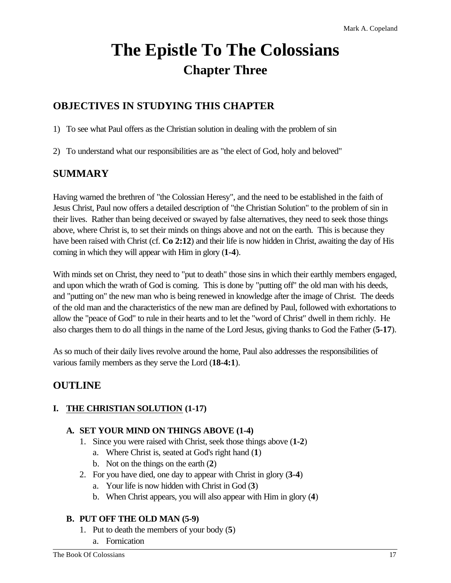# **The Epistle To The Colossians Chapter Three**

# **OBJECTIVES IN STUDYING THIS CHAPTER**

1) To see what Paul offers as the Christian solution in dealing with the problem of sin

2) To understand what our responsibilities are as "the elect of God, holy and beloved"

# **SUMMARY**

Having warned the brethren of "the Colossian Heresy", and the need to be established in the faith of Jesus Christ, Paul now offers a detailed description of "the Christian Solution" to the problem of sin in their lives. Rather than being deceived or swayed by false alternatives, they need to seek those things above, where Christ is, to set their minds on things above and not on the earth. This is because they have been raised with Christ (cf. **Co 2:12**) and their life is now hidden in Christ, awaiting the day of His coming in which they will appear with Him in glory (**1-4**).

With minds set on Christ, they need to "put to death" those sins in which their earthly members engaged, and upon which the wrath of God is coming. This is done by "putting off" the old man with his deeds, and "putting on" the new man who is being renewed in knowledge after the image of Christ. The deeds of the old man and the characteristics of the new man are defined by Paul, followed with exhortations to allow the "peace of God" to rule in their hearts and to let the "word of Christ" dwell in them richly. He also charges them to do all things in the name of the Lord Jesus, giving thanks to God the Father (**5-17**).

As so much of their daily lives revolve around the home, Paul also addresses the responsibilities of various family members as they serve the Lord (**18-4:1**).

# **OUTLINE**

#### **I. THE CHRISTIAN SOLUTION (1-17)**

#### **A. SET YOUR MIND ON THINGS ABOVE (1-4)**

- 1. Since you were raised with Christ, seek those things above (**1-2**)
	- a. Where Christ is, seated at God's right hand (**1**)
	- b. Not on the things on the earth (**2**)
- 2. For you have died, one day to appear with Christ in glory (**3-4**)
	- a. Your life is now hidden with Christ in God (**3**)
	- b. When Christ appears, you will also appear with Him in glory (**4**)

#### **B. PUT OFF THE OLD MAN (5-9)**

- 1. Put to death the members of your body (**5**)
	- a. Fornication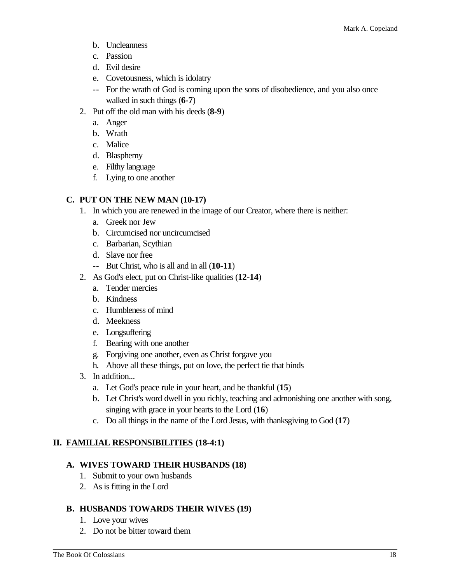- b. Uncleanness
- c. Passion
- d. Evil desire
- e. Covetousness, which is idolatry
- -- For the wrath of God is coming upon the sons of disobedience, and you also once walked in such things (**6-7**)
- 2. Put off the old man with his deeds (**8-9**)
	- a. Anger
	- b. Wrath
	- c. Malice
	- d. Blasphemy
	- e. Filthy language
	- f. Lying to one another

#### **C. PUT ON THE NEW MAN (10-17)**

- 1. In which you are renewed in the image of our Creator, where there is neither:
	- a. Greek nor Jew
	- b. Circumcised nor uncircumcised
	- c. Barbarian, Scythian
	- d. Slave nor free
	- -- But Christ, who is all and in all (**10-11**)
- 2. As God's elect, put on Christ-like qualities (**12-14**)
	- a. Tender mercies
	- b. Kindness
	- c. Humbleness of mind
	- d. Meekness
	- e. Longsuffering
	- f. Bearing with one another
	- g. Forgiving one another, even as Christ forgave you
	- h. Above all these things, put on love, the perfect tie that binds
- 3. In addition...
	- a. Let God's peace rule in your heart, and be thankful (**15**)
	- b. Let Christ's word dwell in you richly, teaching and admonishing one another with song, singing with grace in your hearts to the Lord (**16**)
	- c. Do all things in the name of the Lord Jesus, with thanksgiving to God (**17**)

#### **II. FAMILIAL RESPONSIBILITIES (18-4:1)**

#### **A. WIVES TOWARD THEIR HUSBANDS (18)**

- 1. Submit to your own husbands
- 2. As is fitting in the Lord

#### **B. HUSBANDS TOWARDS THEIR WIVES (19)**

- 1. Love your wives
- 2. Do not be bitter toward them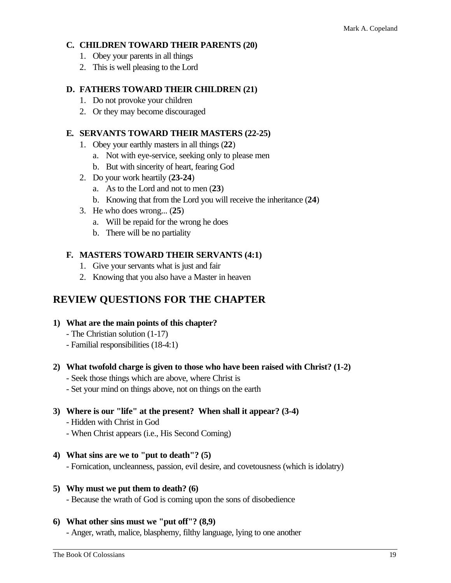#### **C. CHILDREN TOWARD THEIR PARENTS (20)**

- 1. Obey your parents in all things
- 2. This is well pleasing to the Lord

#### **D. FATHERS TOWARD THEIR CHILDREN (21)**

- 1. Do not provoke your children
- 2. Or they may become discouraged

#### **E. SERVANTS TOWARD THEIR MASTERS (22-25)**

- 1. Obey your earthly masters in all things (**22**)
	- a. Not with eye-service, seeking only to please men
	- b. But with sincerity of heart, fearing God
- 2. Do your work heartily (**23-24**)
	- a. As to the Lord and not to men (**23**)
	- b. Knowing that from the Lord you will receive the inheritance (**24**)
- 3. He who does wrong... (**25**)
	- a. Will be repaid for the wrong he does
	- b. There will be no partiality

#### **F. MASTERS TOWARD THEIR SERVANTS (4:1)**

- 1. Give your servants what is just and fair
- 2. Knowing that you also have a Master in heaven

## **REVIEW QUESTIONS FOR THE CHAPTER**

- **1) What are the main points of this chapter?**
	- The Christian solution (1-17)
	- Familial responsibilities (18-4:1)

#### **2) What twofold charge is given to those who have been raised with Christ? (1-2)**

- Seek those things which are above, where Christ is
- Set your mind on things above, not on things on the earth

#### **3) Where is our "life" at the present? When shall it appear? (3-4)**

- Hidden with Christ in God
- When Christ appears (i.e., His Second Coming)
- **4) What sins are we to "put to death"? (5)**
	- Fornication, uncleanness, passion, evil desire, and covetousness (which is idolatry)

#### **5) Why must we put them to death? (6)**

- Because the wrath of God is coming upon the sons of disobedience

#### **6) What other sins must we "put off"? (8,9)**

- Anger, wrath, malice, blasphemy, filthy language, lying to one another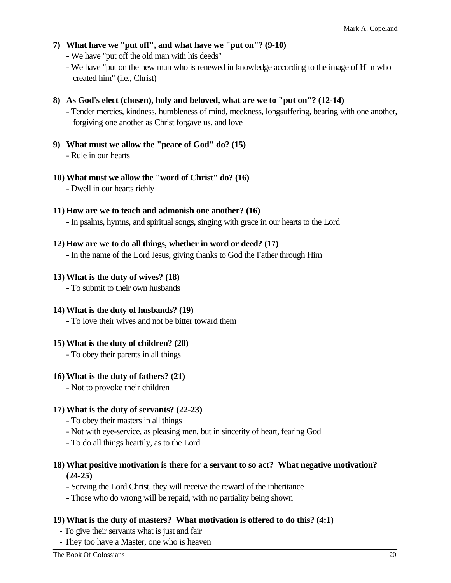#### **7) What have we "put off", and what have we "put on"? (9-10)**

- We have "put off the old man with his deeds"

- We have "put on the new man who is renewed in knowledge according to the image of Him who created him" (i.e., Christ)

#### **8) As God's elect (chosen), holy and beloved, what are we to "put on"? (12-14)**

- Tender mercies, kindness, humbleness of mind, meekness, longsuffering, bearing with one another, forgiving one another as Christ forgave us, and love

**9) What must we allow the "peace of God" do? (15)** - Rule in our hearts

#### **10) What must we allow the "word of Christ" do? (16)**

- Dwell in our hearts richly

#### **11) How are we to teach and admonish one another? (16)**

- In psalms, hymns, and spiritual songs, singing with grace in our hearts to the Lord

#### **12) How are we to do all things, whether in word or deed? (17)**

- In the name of the Lord Jesus, giving thanks to God the Father through Him

#### **13) What is the duty of wives? (18)**

- To submit to their own husbands

#### **14) What is the duty of husbands? (19)**

- To love their wives and not be bitter toward them

#### **15) What is the duty of children? (20)**

- To obey their parents in all things

#### **16) What is the duty of fathers? (21)**

- Not to provoke their children

#### **17) What is the duty of servants? (22-23)**

- To obey their masters in all things
- Not with eye-service, as pleasing men, but in sincerity of heart, fearing God
- To do all things heartily, as to the Lord

#### **18) What positive motivation is there for a servant to so act? What negative motivation? (24-25)**

- Serving the Lord Christ, they will receive the reward of the inheritance
- Those who do wrong will be repaid, with no partiality being shown

#### **19) What is the duty of masters? What motivation is offered to do this? (4:1)**

- To give their servants what is just and fair
- They too have a Master, one who is heaven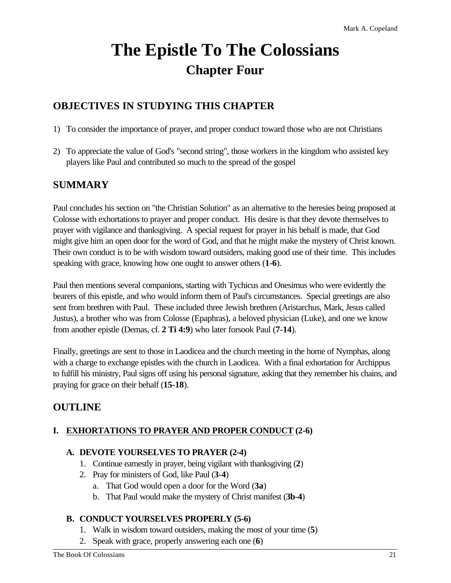# **The Epistle To The Colossians Chapter Four**

# **OBJECTIVES IN STUDYING THIS CHAPTER**

- 1) To consider the importance of prayer, and proper conduct toward those who are not Christians
- 2) To appreciate the value of God's "second string", those workers in the kingdom who assisted key players like Paul and contributed so much to the spread of the gospel

# **SUMMARY**

Paul concludes his section on "the Christian Solution" as an alternative to the heresies being proposed at Colosse with exhortations to prayer and proper conduct. His desire is that they devote themselves to prayer with vigilance and thanksgiving. A special request for prayer in his behalf is made, that God might give him an open door for the word of God, and that he might make the mystery of Christ known. Their own conduct is to be with wisdom toward outsiders, making good use of their time. This includes speaking with grace, knowing how one ought to answer others (**1-6**).

Paul then mentions several companions, starting with Tychicus and Onesimus who were evidently the bearers of this epistle, and who would inform them of Paul's circumstances. Special greetings are also sent from brethren with Paul. These included three Jewish brethren (Aristarchus, Mark, Jesus called Justus), a brother who was from Colosse (Epaphras), a beloved physician (Luke), and one we know from another epistle (Demas, cf. **2 Ti 4:9**) who later forsook Paul (**7-14**).

Finally, greetings are sent to those in Laodicea and the church meeting in the home of Nymphas, along with a charge to exchange epistles with the church in Laodicea. With a final exhortation for Archippus to fulfill his ministry, Paul signs off using his personal signature, asking that they remember his chains, and praying for grace on their behalf (**15-18**).

# **OUTLINE**

## **I. EXHORTATIONS TO PRAYER AND PROPER CONDUCT (2-6)**

#### **A. DEVOTE YOURSELVES TO PRAYER (2-4)**

- 1. Continue earnestly in prayer, being vigilant with thanksgiving (**2**)
- 2. Pray for ministers of God, like Paul (**3-4**)
	- a. That God would open a door for the Word (**3a**)
	- b. That Paul would make the mystery of Christ manifest (**3b-4**)

#### **B. CONDUCT YOURSELVES PROPERLY (5-6)**

- 1. Walk in wisdom toward outsiders, making the most of your time (**5**)
- 2. Speak with grace, properly answering each one (**6**)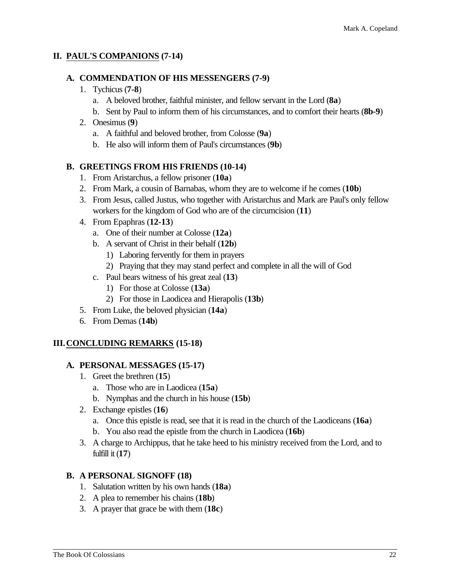#### **II. PAUL'S COMPANIONS (7-14)**

#### **A. COMMENDATION OF HIS MESSENGERS (7-9)**

- 1. Tychicus (**7-8**)
	- a. A beloved brother, faithful minister, and fellow servant in the Lord (**8a**)
	- b. Sent by Paul to inform them of his circumstances, and to comfort their hearts (**8b-9**)

#### 2. Onesimus (**9**)

- a. A faithful and beloved brother, from Colosse (**9a**)
- b. He also will inform them of Paul's circumstances (**9b**)

#### **B. GREETINGS FROM HIS FRIENDS (10-14)**

- 1. From Aristarchus, a fellow prisoner (**10a**)
- 2. From Mark, a cousin of Barnabas, whom they are to welcome if he comes (**10b**)
- 3. From Jesus, called Justus, who together with Aristarchus and Mark are Paul's only fellow workers for the kingdom of God who are of the circumcision (**11**)
- 4. From Epaphras (**12-13**)
	- a. One of their number at Colosse (**12a**)
	- b. A servant of Christ in their behalf (**12b**)
		- 1) Laboring fervently for them in prayers
		- 2) Praying that they may stand perfect and complete in all the will of God
	- c. Paul bears witness of his great zeal (**13**)
		- 1) For those at Colosse (**13a**)
		- 2) For those in Laodicea and Hierapolis (**13b**)
- 5. From Luke, the beloved physician (**14a**)
- 6. From Demas (**14b**)

#### **III.CONCLUDING REMARKS (15-18)**

#### **A. PERSONAL MESSAGES (15-17)**

- 1. Greet the brethren (**15**)
	- a. Those who are in Laodicea (**15a**)
	- b. Nymphas and the church in his house (**15b**)
- 2. Exchange epistles (**16**)
	- a. Once this epistle is read, see that it is read in the church of the Laodiceans (**16a**)
	- b. You also read the epistle from the church in Laodicea (**16b**)
- 3. A charge to Archippus, that he take heed to his ministry received from the Lord, and to fulfill it (**17**)

#### **B. A PERSONAL SIGNOFF (18)**

- 1. Salutation written by his own hands (**18a**)
- 2. A plea to remember his chains (**18b**)
- 3. A prayer that grace be with them (**18c**)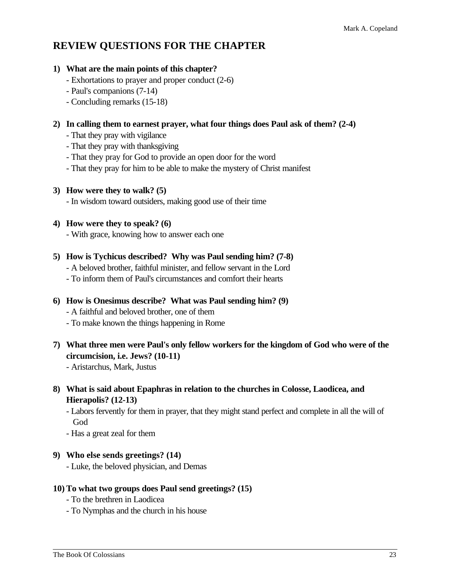# **REVIEW QUESTIONS FOR THE CHAPTER**

#### **1) What are the main points of this chapter?**

- Exhortations to prayer and proper conduct (2-6)
- Paul's companions (7-14)
- Concluding remarks (15-18)

#### **2) In calling them to earnest prayer, what four things does Paul ask of them? (2-4)**

- That they pray with vigilance
- That they pray with thanksgiving
- That they pray for God to provide an open door for the word
- That they pray for him to be able to make the mystery of Christ manifest

#### **3) How were they to walk? (5)**

- In wisdom toward outsiders, making good use of their time

#### **4) How were they to speak? (6)**

- With grace, knowing how to answer each one

#### **5) How is Tychicus described? Why was Paul sending him? (7-8)**

- A beloved brother, faithful minister, and fellow servant in the Lord
- To inform them of Paul's circumstances and comfort their hearts

# **6) How is Onesimus describe? What was Paul sending him? (9)**

- A faithful and beloved brother, one of them
- To make known the things happening in Rome
- **7) What three men were Paul's only fellow workers for the kingdom of God who were of the circumcision, i.e. Jews? (10-11)**

- Aristarchus, Mark, Justus

**8) What is said about Epaphras in relation to the churches in Colosse, Laodicea, and Hierapolis? (12-13)**

- Labors fervently for them in prayer, that they might stand perfect and complete in all the will of God

- Has a great zeal for them

#### **9) Who else sends greetings? (14)**

- Luke, the beloved physician, and Demas

#### **10) To what two groups does Paul send greetings? (15)**

- To the brethren in Laodicea
- To Nymphas and the church in his house